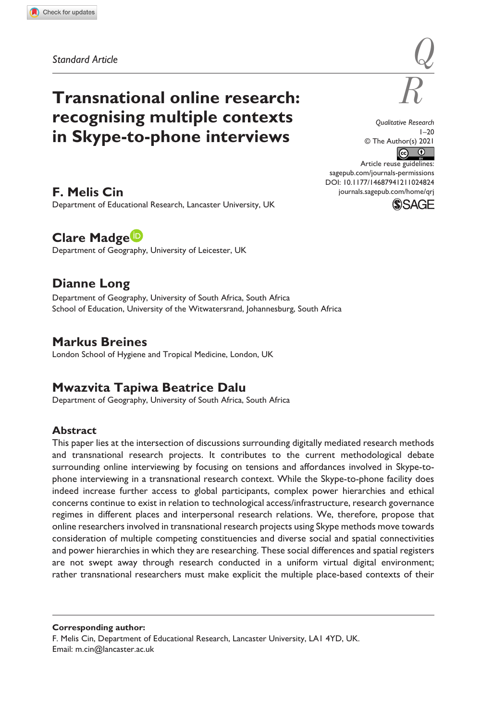**1024[824](http://crossmark.crossref.org/dialog/?doi=10.1177%2F14687941211024824&domain=pdf&date_stamp=2021-07-03)** QRJ0010.1177/14687941211024824Qualitative Research**Cin et al.**

# **Transnational online research: recognising multiple contexts in Skype-to-phone interviews**

*Qualitative Research*  $1 - 20$ © The Author(s) 2021  $\bullet$   $\bullet$ 

DOI: 10.1177/14687941211024824 Article reuse guidelines: [sagepub.com/journals-permissions](https://uk.sagepub.com/en-gb/journals-permissions) [journals.sagepub.com/home/qrj](https://journals.sagepub.com/home/qrj)



### **F. Melis Cin**

Department of Educational Research, Lancaster University, UK

# **Clare Madge**

Department of Geography, University of Leicester, UK

# **Dianne Long**

Department of Geography, University of South Africa, South Africa School of Education, University of the Witwatersrand, Johannesburg, South Africa

# **Markus Breines**

London School of Hygiene and Tropical Medicine, London, UK

# **Mwazvita Tapiwa Beatrice Dalu**

Department of Geography, University of South Africa, South Africa

#### **Abstract**

This paper lies at the intersection of discussions surrounding digitally mediated research methods and transnational research projects. It contributes to the current methodological debate surrounding online interviewing by focusing on tensions and affordances involved in Skype-tophone interviewing in a transnational research context. While the Skype-to-phone facility does indeed increase further access to global participants, complex power hierarchies and ethical concerns continue to exist in relation to technological access/infrastructure, research governance regimes in different places and interpersonal research relations. We, therefore, propose that online researchers involved in transnational research projects using Skype methods move towards consideration of multiple competing constituencies and diverse social and spatial connectivities and power hierarchies in which they are researching. These social differences and spatial registers are not swept away through research conducted in a uniform virtual digital environment; rather transnational researchers must make explicit the multiple place-based contexts of their

**Corresponding author:**

F. Melis Cin, Department of Educational Research, Lancaster University, LA1 4YD, UK. Email: [m.cin@lancaster.ac.uk](mailto:m.cin@lancaster.ac.uk)

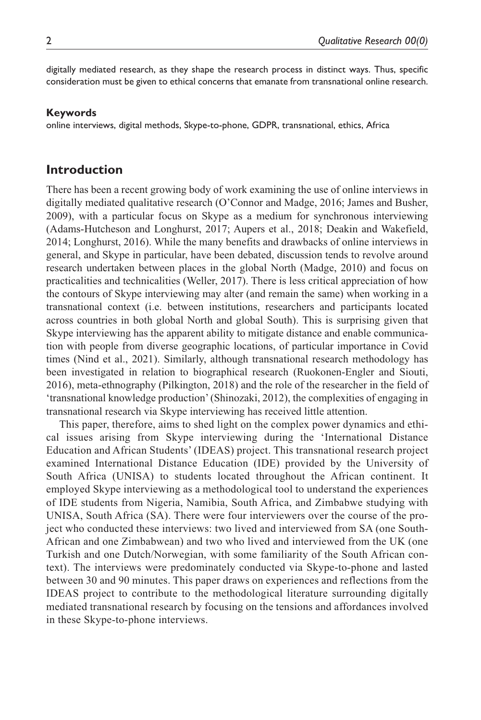digitally mediated research, as they shape the research process in distinct ways. Thus, specific consideration must be given to ethical concerns that emanate from transnational online research.

#### **Keywords**

online interviews, digital methods, Skype-to-phone, GDPR, transnational, ethics, Africa

### **Introduction**

There has been a recent growing body of work examining the use of online interviews in digitally mediated qualitative research (O'Connor and Madge, 2016; James and Busher, 2009), with a particular focus on Skype as a medium for synchronous interviewing (Adams-Hutcheson and Longhurst, 2017; Aupers et al., 2018; Deakin and Wakefield, 2014; Longhurst, 2016). While the many benefits and drawbacks of online interviews in general, and Skype in particular, have been debated, discussion tends to revolve around research undertaken between places in the global North (Madge, 2010) and focus on practicalities and technicalities (Weller, 2017). There is less critical appreciation of how the contours of Skype interviewing may alter (and remain the same) when working in a transnational context (i.e. between institutions, researchers and participants located across countries in both global North and global South). This is surprising given that Skype interviewing has the apparent ability to mitigate distance and enable communication with people from diverse geographic locations, of particular importance in Covid times (Nind et al., 2021). Similarly, although transnational research methodology has been investigated in relation to biographical research (Ruokonen-Engler and Siouti, 2016), meta-ethnography (Pilkington, 2018) and the role of the researcher in the field of 'transnational knowledge production' (Shinozaki, 2012), the complexities of engaging in transnational research via Skype interviewing has received little attention.

This paper, therefore, aims to shed light on the complex power dynamics and ethical issues arising from Skype interviewing during the 'International Distance Education and African Students' (IDEAS) project. This transnational research project examined International Distance Education (IDE) provided by the University of South Africa (UNISA) to students located throughout the African continent. It employed Skype interviewing as a methodological tool to understand the experiences of IDE students from Nigeria, Namibia, South Africa, and Zimbabwe studying with UNISA, South Africa (SA). There were four interviewers over the course of the project who conducted these interviews: two lived and interviewed from SA (one South-African and one Zimbabwean) and two who lived and interviewed from the UK (one Turkish and one Dutch/Norwegian, with some familiarity of the South African context). The interviews were predominately conducted via Skype-to-phone and lasted between 30 and 90 minutes. This paper draws on experiences and reflections from the IDEAS project to contribute to the methodological literature surrounding digitally mediated transnational research by focusing on the tensions and affordances involved in these Skype-to-phone interviews.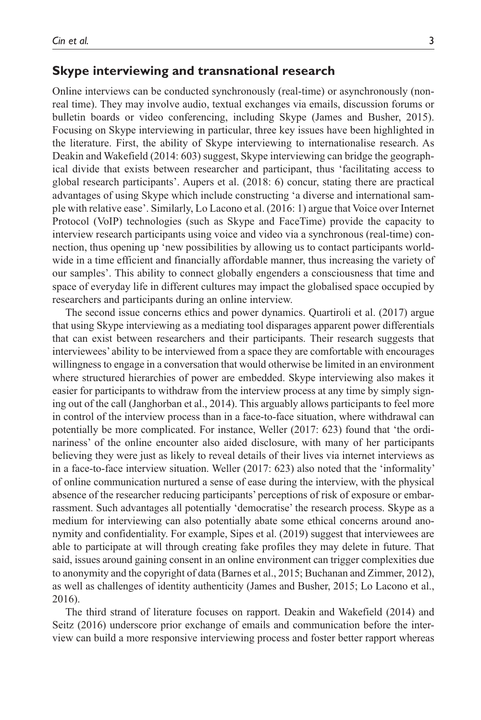### **Skype interviewing and transnational research**

Online interviews can be conducted synchronously (real-time) or asynchronously (nonreal time). They may involve audio, textual exchanges via emails, discussion forums or bulletin boards or video conferencing, including Skype (James and Busher, 2015). Focusing on Skype interviewing in particular, three key issues have been highlighted in the literature. First, the ability of Skype interviewing to internationalise research. As Deakin and Wakefield (2014: 603) suggest, Skype interviewing can bridge the geographical divide that exists between researcher and participant, thus 'facilitating access to global research participants'. Aupers et al. (2018: 6) concur, stating there are practical advantages of using Skype which include constructing 'a diverse and international sample with relative ease'. Similarly, Lo Lacono et al. (2016: 1) argue that Voice over Internet Protocol (VoIP) technologies (such as Skype and FaceTime) provide the capacity to interview research participants using voice and video via a synchronous (real-time) connection, thus opening up 'new possibilities by allowing us to contact participants worldwide in a time efficient and financially affordable manner, thus increasing the variety of our samples'. This ability to connect globally engenders a consciousness that time and space of everyday life in different cultures may impact the globalised space occupied by researchers and participants during an online interview.

The second issue concerns ethics and power dynamics. Quartiroli et al. (2017) argue that using Skype interviewing as a mediating tool disparages apparent power differentials that can exist between researchers and their participants. Their research suggests that interviewees' ability to be interviewed from a space they are comfortable with encourages willingness to engage in a conversation that would otherwise be limited in an environment where structured hierarchies of power are embedded. Skype interviewing also makes it easier for participants to withdraw from the interview process at any time by simply signing out of the call (Janghorban et al., 2014). This arguably allows participants to feel more in control of the interview process than in a face-to-face situation, where withdrawal can potentially be more complicated. For instance, Weller (2017: 623) found that 'the ordinariness' of the online encounter also aided disclosure, with many of her participants believing they were just as likely to reveal details of their lives via internet interviews as in a face-to-face interview situation. Weller (2017: 623) also noted that the 'informality' of online communication nurtured a sense of ease during the interview, with the physical absence of the researcher reducing participants' perceptions of risk of exposure or embarrassment. Such advantages all potentially 'democratise' the research process. Skype as a medium for interviewing can also potentially abate some ethical concerns around anonymity and confidentiality. For example, Sipes et al. (2019) suggest that interviewees are able to participate at will through creating fake profiles they may delete in future. That said, issues around gaining consent in an online environment can trigger complexities due to anonymity and the copyright of data (Barnes et al., 2015; Buchanan and Zimmer, 2012), as well as challenges of identity authenticity (James and Busher, 2015; Lo Lacono et al., 2016).

The third strand of literature focuses on rapport. Deakin and Wakefield (2014) and Seitz (2016) underscore prior exchange of emails and communication before the interview can build a more responsive interviewing process and foster better rapport whereas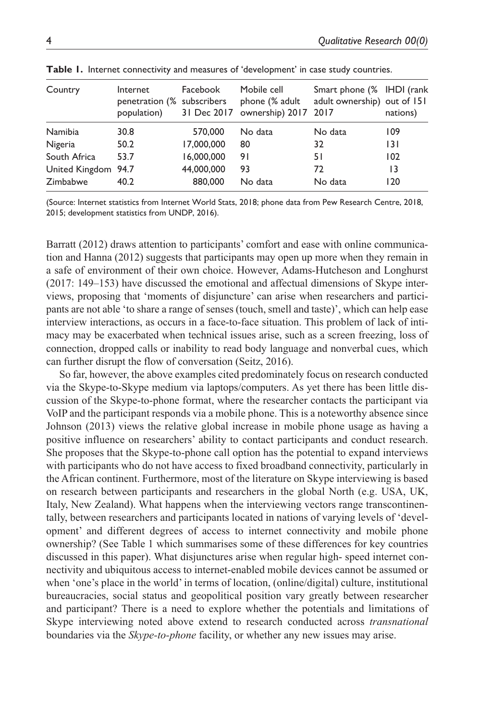| Country             | Internet<br>penetration (% subscribers<br>population) | Facebook   | Mobile cell<br>phone (% adult<br>31 Dec 2017 ownership) 2017 2017 | Smart phone (% IHDI (rank<br>adult ownership) out of 151 | nations) |
|---------------------|-------------------------------------------------------|------------|-------------------------------------------------------------------|----------------------------------------------------------|----------|
| Namibia             | 30.8                                                  | 570,000    | No data                                                           | No data                                                  | 109      |
| Nigeria             | 50.2                                                  | 17,000,000 | 80                                                                | 32                                                       | 131      |
| South Africa        | 53.7                                                  | 16,000,000 | 91                                                                | 51                                                       | 102      |
| United Kingdom 94.7 |                                                       | 44,000,000 | 93                                                                | 72                                                       | 13       |
| Zimbabwe            | 40.2                                                  | 880,000    | No data                                                           | No data                                                  | 120      |

Table 1. Internet connectivity and measures of 'development' in case study countries.

(Source: Internet statistics from Internet World Stats, 2018; phone data from Pew Research Centre, 2018, 2015; development statistics from UNDP, 2016).

Barratt (2012) draws attention to participants' comfort and ease with online communication and Hanna (2012) suggests that participants may open up more when they remain in a safe of environment of their own choice. However, Adams-Hutcheson and Longhurst (2017: 149–153) have discussed the emotional and affectual dimensions of Skype interviews, proposing that 'moments of disjuncture' can arise when researchers and participants are not able 'to share a range of senses (touch, smell and taste)', which can help ease interview interactions, as occurs in a face-to-face situation. This problem of lack of intimacy may be exacerbated when technical issues arise, such as a screen freezing, loss of connection, dropped calls or inability to read body language and nonverbal cues, which can further disrupt the flow of conversation (Seitz, 2016).

So far, however, the above examples cited predominately focus on research conducted via the Skype-to-Skype medium via laptops/computers. As yet there has been little discussion of the Skype-to-phone format, where the researcher contacts the participant via VoIP and the participant responds via a mobile phone. This is a noteworthy absence since Johnson (2013) views the relative global increase in mobile phone usage as having a positive influence on researchers' ability to contact participants and conduct research. She proposes that the Skype-to-phone call option has the potential to expand interviews with participants who do not have access to fixed broadband connectivity, particularly in the African continent. Furthermore, most of the literature on Skype interviewing is based on research between participants and researchers in the global North (e.g. USA, UK, Italy, New Zealand). What happens when the interviewing vectors range transcontinentally, between researchers and participants located in nations of varying levels of 'development' and different degrees of access to internet connectivity and mobile phone ownership? (See Table 1 which summarises some of these differences for key countries discussed in this paper). What disjunctures arise when regular high- speed internet connectivity and ubiquitous access to internet-enabled mobile devices cannot be assumed or when 'one's place in the world' in terms of location, (online/digital) culture, institutional bureaucracies, social status and geopolitical position vary greatly between researcher and participant? There is a need to explore whether the potentials and limitations of Skype interviewing noted above extend to research conducted across *transnational* boundaries via the *Skype-to-phone* facility, or whether any new issues may arise.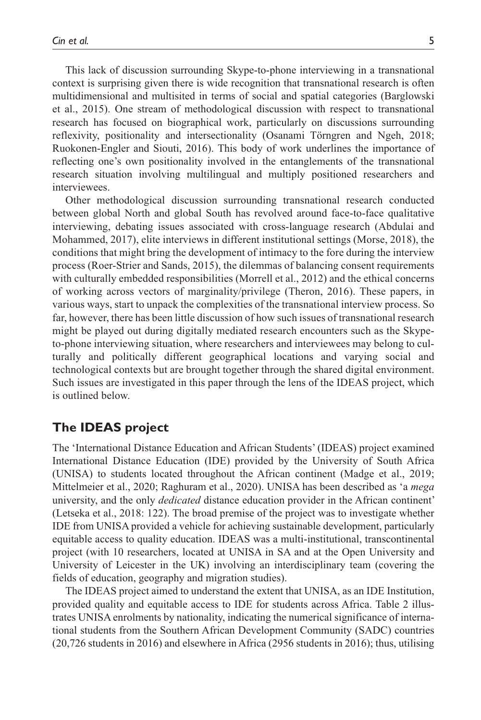This lack of discussion surrounding Skype-to-phone interviewing in a transnational context is surprising given there is wide recognition that transnational research is often multidimensional and multisited in terms of social and spatial categories (Barglowski et al., 2015). One stream of methodological discussion with respect to transnational research has focused on biographical work, particularly on discussions surrounding reflexivity, positionality and intersectionality (Osanami Törngren and Ngeh, 2018; Ruokonen-Engler and Siouti, 2016). This body of work underlines the importance of reflecting one's own positionality involved in the entanglements of the transnational research situation involving multilingual and multiply positioned researchers and interviewees.

Other methodological discussion surrounding transnational research conducted between global North and global South has revolved around face-to-face qualitative interviewing, debating issues associated with cross-language research (Abdulai and Mohammed, 2017), elite interviews in different institutional settings (Morse, 2018), the conditions that might bring the development of intimacy to the fore during the interview process (Roer-Strier and Sands, 2015), the dilemmas of balancing consent requirements with culturally embedded responsibilities (Morrell et al., 2012) and the ethical concerns of working across vectors of marginality/privilege (Theron, 2016). These papers, in various ways, start to unpack the complexities of the transnational interview process. So far, however, there has been little discussion of how such issues of transnational research might be played out during digitally mediated research encounters such as the Skypeto-phone interviewing situation, where researchers and interviewees may belong to culturally and politically different geographical locations and varying social and technological contexts but are brought together through the shared digital environment. Such issues are investigated in this paper through the lens of the IDEAS project, which is outlined below.

### **The IDEAS project**

The 'International Distance Education and African Students' (IDEAS) project examined International Distance Education (IDE) provided by the University of South Africa (UNISA) to students located throughout the African continent (Madge et al., 2019; Mittelmeier et al., 2020; Raghuram et al., 2020). UNISA has been described as 'a *mega* university, and the only *dedicated* distance education provider in the African continent' (Letseka et al., 2018: 122). The broad premise of the project was to investigate whether IDE from UNISA provided a vehicle for achieving sustainable development, particularly equitable access to quality education. IDEAS was a multi-institutional, transcontinental project (with 10 researchers, located at UNISA in SA and at the Open University and University of Leicester in the UK) involving an interdisciplinary team (covering the fields of education, geography and migration studies).

The IDEAS project aimed to understand the extent that UNISA, as an IDE Institution, provided quality and equitable access to IDE for students across Africa. Table 2 illustrates UNISA enrolments by nationality, indicating the numerical significance of international students from the Southern African Development Community (SADC) countries (20,726 students in 2016) and elsewhere in Africa (2956 students in 2016); thus, utilising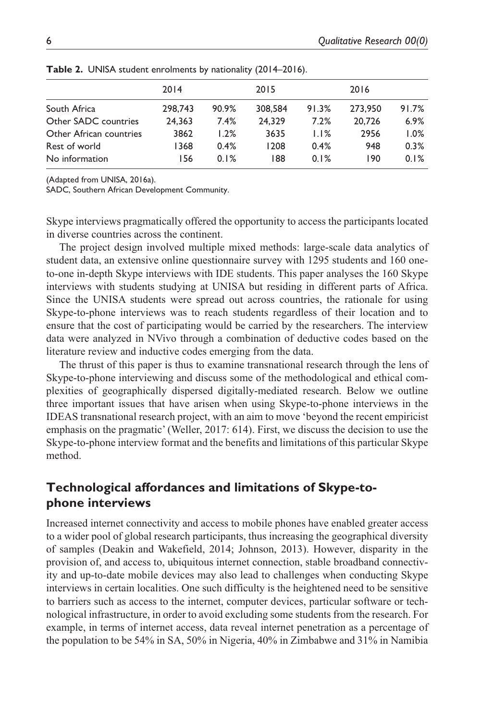|                         | 2014    |       | 2015    |       | 2016    |       |
|-------------------------|---------|-------|---------|-------|---------|-------|
| South Africa            | 298,743 | 90.9% | 308,584 | 91.3% | 273,950 | 91.7% |
| Other SADC countries    | 24.363  | 7.4%  | 24.329  | 7.2%  | 20.726  | 6.9%  |
| Other African countries | 3862    | 1.2%  | 3635    | 1.1%  | 2956    | 1.0%  |
| Rest of world           | 1368    | 0.4%  | 1208    | 0.4%  | 948     | 0.3%  |
| No information          | 156     | 0.1%  | 188     | 0.1%  | 190     | 0.1%  |

**Table 2.** UNISA student enrolments by nationality (2014–2016).

(Adapted from UNISA, 2016a).

SADC, Southern African Development Community.

Skype interviews pragmatically offered the opportunity to access the participants located in diverse countries across the continent.

The project design involved multiple mixed methods: large-scale data analytics of student data, an extensive online questionnaire survey with 1295 students and 160 oneto-one in-depth Skype interviews with IDE students. This paper analyses the 160 Skype interviews with students studying at UNISA but residing in different parts of Africa. Since the UNISA students were spread out across countries, the rationale for using Skype-to-phone interviews was to reach students regardless of their location and to ensure that the cost of participating would be carried by the researchers. The interview data were analyzed in NVivo through a combination of deductive codes based on the literature review and inductive codes emerging from the data.

The thrust of this paper is thus to examine transnational research through the lens of Skype-to-phone interviewing and discuss some of the methodological and ethical complexities of geographically dispersed digitally-mediated research. Below we outline three important issues that have arisen when using Skype-to-phone interviews in the IDEAS transnational research project, with an aim to move 'beyond the recent empiricist emphasis on the pragmatic' (Weller, 2017: 614). First, we discuss the decision to use the Skype-to-phone interview format and the benefits and limitations of this particular Skype method.

### **Technological affordances and limitations of Skype-tophone interviews**

Increased internet connectivity and access to mobile phones have enabled greater access to a wider pool of global research participants, thus increasing the geographical diversity of samples (Deakin and Wakefield, 2014; Johnson, 2013). However, disparity in the provision of, and access to, ubiquitous internet connection, stable broadband connectivity and up-to-date mobile devices may also lead to challenges when conducting Skype interviews in certain localities. One such difficulty is the heightened need to be sensitive to barriers such as access to the internet, computer devices, particular software or technological infrastructure, in order to avoid excluding some students from the research. For example, in terms of internet access, data reveal internet penetration as a percentage of the population to be 54% in SA, 50% in Nigeria, 40% in Zimbabwe and 31% in Namibia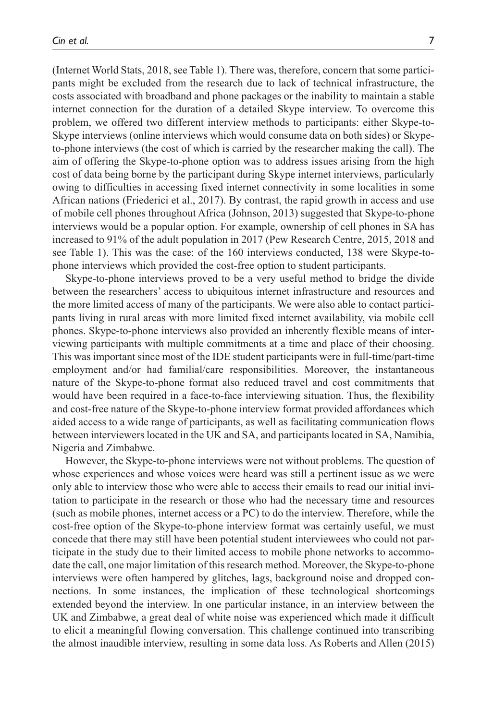(Internet World Stats, 2018, see Table 1). There was, therefore, concern that some participants might be excluded from the research due to lack of technical infrastructure, the costs associated with broadband and phone packages or the inability to maintain a stable internet connection for the duration of a detailed Skype interview. To overcome this problem, we offered two different interview methods to participants: either Skype-to-Skype interviews (online interviews which would consume data on both sides) or Skypeto-phone interviews (the cost of which is carried by the researcher making the call). The aim of offering the Skype-to-phone option was to address issues arising from the high cost of data being borne by the participant during Skype internet interviews, particularly owing to difficulties in accessing fixed internet connectivity in some localities in some African nations (Friederici et al., 2017). By contrast, the rapid growth in access and use of mobile cell phones throughout Africa (Johnson, 2013) suggested that Skype-to-phone interviews would be a popular option. For example, ownership of cell phones in SA has increased to 91% of the adult population in 2017 (Pew Research Centre, 2015, 2018 and see Table 1). This was the case: of the 160 interviews conducted, 138 were Skype-tophone interviews which provided the cost-free option to student participants.

Skype-to-phone interviews proved to be a very useful method to bridge the divide between the researchers' access to ubiquitous internet infrastructure and resources and the more limited access of many of the participants. We were also able to contact participants living in rural areas with more limited fixed internet availability, via mobile cell phones. Skype-to-phone interviews also provided an inherently flexible means of interviewing participants with multiple commitments at a time and place of their choosing. This was important since most of the IDE student participants were in full-time/part-time employment and/or had familial/care responsibilities. Moreover, the instantaneous nature of the Skype-to-phone format also reduced travel and cost commitments that would have been required in a face-to-face interviewing situation. Thus, the flexibility and cost-free nature of the Skype-to-phone interview format provided affordances which aided access to a wide range of participants, as well as facilitating communication flows between interviewers located in the UK and SA, and participants located in SA, Namibia, Nigeria and Zimbabwe.

However, the Skype-to-phone interviews were not without problems. The question of whose experiences and whose voices were heard was still a pertinent issue as we were only able to interview those who were able to access their emails to read our initial invitation to participate in the research or those who had the necessary time and resources (such as mobile phones, internet access or a PC) to do the interview. Therefore, while the cost-free option of the Skype-to-phone interview format was certainly useful, we must concede that there may still have been potential student interviewees who could not participate in the study due to their limited access to mobile phone networks to accommodate the call, one major limitation of this research method. Moreover, the Skype-to-phone interviews were often hampered by glitches, lags, background noise and dropped connections. In some instances, the implication of these technological shortcomings extended beyond the interview. In one particular instance, in an interview between the UK and Zimbabwe, a great deal of white noise was experienced which made it difficult to elicit a meaningful flowing conversation. This challenge continued into transcribing the almost inaudible interview, resulting in some data loss. As Roberts and Allen (2015)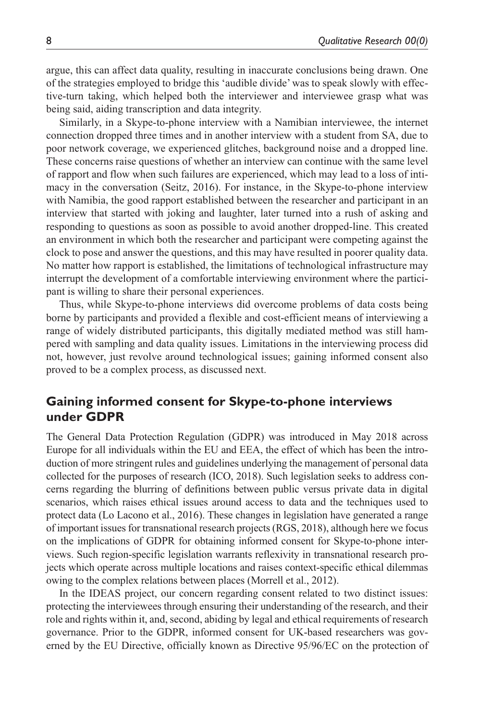argue, this can affect data quality, resulting in inaccurate conclusions being drawn. One of the strategies employed to bridge this 'audible divide' was to speak slowly with effective-turn taking, which helped both the interviewer and interviewee grasp what was being said, aiding transcription and data integrity.

Similarly, in a Skype-to-phone interview with a Namibian interviewee, the internet connection dropped three times and in another interview with a student from SA, due to poor network coverage, we experienced glitches, background noise and a dropped line. These concerns raise questions of whether an interview can continue with the same level of rapport and flow when such failures are experienced, which may lead to a loss of intimacy in the conversation (Seitz, 2016). For instance, in the Skype-to-phone interview with Namibia, the good rapport established between the researcher and participant in an interview that started with joking and laughter, later turned into a rush of asking and responding to questions as soon as possible to avoid another dropped-line. This created an environment in which both the researcher and participant were competing against the clock to pose and answer the questions, and this may have resulted in poorer quality data. No matter how rapport is established, the limitations of technological infrastructure may interrupt the development of a comfortable interviewing environment where the participant is willing to share their personal experiences.

Thus, while Skype-to-phone interviews did overcome problems of data costs being borne by participants and provided a flexible and cost-efficient means of interviewing a range of widely distributed participants, this digitally mediated method was still hampered with sampling and data quality issues. Limitations in the interviewing process did not, however, just revolve around technological issues; gaining informed consent also proved to be a complex process, as discussed next.

### **Gaining informed consent for Skype-to-phone interviews under GDPR**

The General Data Protection Regulation (GDPR) was introduced in May 2018 across Europe for all individuals within the EU and EEA, the effect of which has been the introduction of more stringent rules and guidelines underlying the management of personal data collected for the purposes of research (ICO, 2018). Such legislation seeks to address concerns regarding the blurring of definitions between public versus private data in digital scenarios, which raises ethical issues around access to data and the techniques used to protect data (Lo Lacono et al., 2016). These changes in legislation have generated a range of important issues for transnational research projects (RGS, 2018), although here we focus on the implications of GDPR for obtaining informed consent for Skype-to-phone interviews. Such region-specific legislation warrants reflexivity in transnational research projects which operate across multiple locations and raises context-specific ethical dilemmas owing to the complex relations between places (Morrell et al., 2012).

In the IDEAS project, our concern regarding consent related to two distinct issues: protecting the interviewees through ensuring their understanding of the research, and their role and rights within it, and, second, abiding by legal and ethical requirements of research governance. Prior to the GDPR, informed consent for UK-based researchers was governed by the EU Directive, officially known as Directive 95/96/EC on the protection of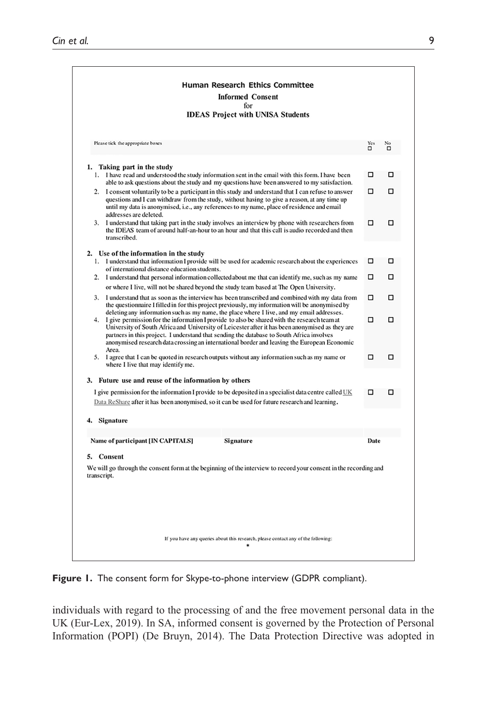|             | Human Research Ethics Committee<br><b>Informed Consent</b>                                                                                                                                                                                                                                                                                                                                          |          |    |
|-------------|-----------------------------------------------------------------------------------------------------------------------------------------------------------------------------------------------------------------------------------------------------------------------------------------------------------------------------------------------------------------------------------------------------|----------|----|
|             | for                                                                                                                                                                                                                                                                                                                                                                                                 |          |    |
|             | <b>IDEAS Project with UNISA Students</b>                                                                                                                                                                                                                                                                                                                                                            |          |    |
|             | Please tick the appropriate boxes                                                                                                                                                                                                                                                                                                                                                                   | Yes<br>O | No |
|             |                                                                                                                                                                                                                                                                                                                                                                                                     |          |    |
|             | 1. Taking part in the study<br>1. I have read and understood the study information sent in the email with this form. I have been<br>able to ask questions about the study and my questions have been answered to my satisfaction.                                                                                                                                                                   | □        | □  |
| 2.          | I consent voluntarily to be a participant in this study and understand that I can refuse to answer<br>questions and I can withdraw from the study, without having to give a reason, at any time up<br>until my data is anonymised, i.e., any references to my name, place of residence and email<br>addresses are deleted.                                                                          | □        | □  |
| 3.          | I understand that taking part in the study involves an interview by phone with researchers from<br>the IDEAS team of around half-an-hour to an hour and that this call is audio recorded and then<br>transcribed.                                                                                                                                                                                   | □        | п  |
|             | 2. Use of the information in the study<br>1. I understand that information I provide will be used for academic research about the experiences                                                                                                                                                                                                                                                       | □        | □  |
|             | of international distance education students.                                                                                                                                                                                                                                                                                                                                                       |          |    |
|             | 2. I understand that personal information collected about me that can identify me, such as my name<br>or where I live, will not be shared beyond the study team based at The Open University.                                                                                                                                                                                                       | □        | □  |
| 3.          | I understand that as soon as the interview has been transcribed and combined with my data from<br>the questionnaire I filled in for this project previously, my information will be anonymised by<br>deleting any information such as my name, the place where I live, and my email addresses.                                                                                                      | □        | α  |
| 4.          | I give permission for the information I provide to also be shared with the research team at<br>University of South Africa and University of Leicester after it has been anonymised as they are<br>partners in this project. I understand that sending the database to South Africa involves<br>anonymised research data crossing an international border and leaving the European Economic<br>Area. | п        | п  |
|             | 5. I agree that I can be quoted in research outputs without any information such as my name or<br>where I live that may identify me.                                                                                                                                                                                                                                                                | □        | □  |
|             | 3. Future use and reuse of the information by others                                                                                                                                                                                                                                                                                                                                                |          |    |
|             | I give permission for the information I provide to be deposited in a specialist data centre called UK<br>Data ReShare after it has been anonymised, so it can be used for future research and learning.                                                                                                                                                                                             | п        | п  |
|             | 4. Signature                                                                                                                                                                                                                                                                                                                                                                                        |          |    |
|             |                                                                                                                                                                                                                                                                                                                                                                                                     |          |    |
|             | Name of participant [IN CAPITALS]<br>Signature                                                                                                                                                                                                                                                                                                                                                      | Date     |    |
|             | 5. Consent                                                                                                                                                                                                                                                                                                                                                                                          |          |    |
| transcript. | We will go through the consent form at the beginning of the interview to record your consent in the recording and                                                                                                                                                                                                                                                                                   |          |    |
|             |                                                                                                                                                                                                                                                                                                                                                                                                     |          |    |
|             | If you have any queries about this research, please contact any of the following:                                                                                                                                                                                                                                                                                                                   |          |    |

**Figure 1.** The consent form for Skype-to-phone interview (GDPR compliant).

individuals with regard to the processing of and the free movement personal data in the UK (Eur-Lex, 2019). In SA, informed consent is governed by the Protection of Personal Information (POPI) (De Bruyn, 2014). The Data Protection Directive was adopted in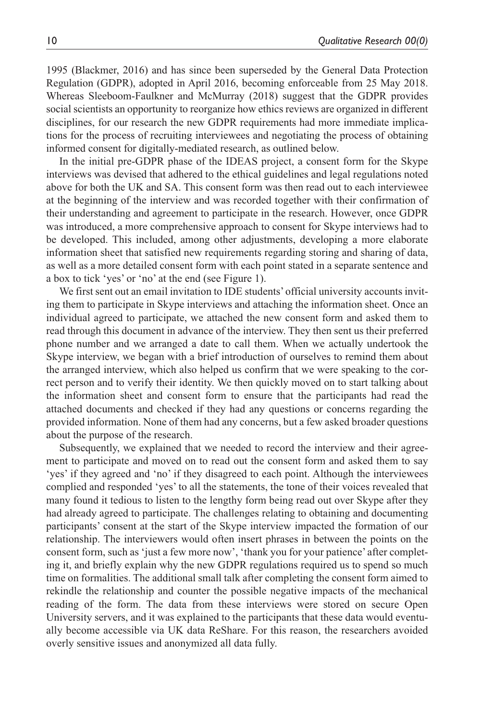1995 (Blackmer, 2016) and has since been superseded by the General Data Protection Regulation (GDPR), adopted in April 2016, becoming enforceable from 25 May 2018. Whereas Sleeboom-Faulkner and McMurray (2018) suggest that the GDPR provides social scientists an opportunity to reorganize how ethics reviews are organized in different disciplines, for our research the new GDPR requirements had more immediate implications for the process of recruiting interviewees and negotiating the process of obtaining informed consent for digitally-mediated research, as outlined below.

In the initial pre-GDPR phase of the IDEAS project, a consent form for the Skype interviews was devised that adhered to the ethical guidelines and legal regulations noted above for both the UK and SA. This consent form was then read out to each interviewee at the beginning of the interview and was recorded together with their confirmation of their understanding and agreement to participate in the research. However, once GDPR was introduced, a more comprehensive approach to consent for Skype interviews had to be developed. This included, among other adjustments, developing a more elaborate information sheet that satisfied new requirements regarding storing and sharing of data, as well as a more detailed consent form with each point stated in a separate sentence and a box to tick 'yes' or 'no' at the end (see Figure 1).

We first sent out an email invitation to IDE students' official university accounts inviting them to participate in Skype interviews and attaching the information sheet. Once an individual agreed to participate, we attached the new consent form and asked them to read through this document in advance of the interview. They then sent us their preferred phone number and we arranged a date to call them. When we actually undertook the Skype interview, we began with a brief introduction of ourselves to remind them about the arranged interview, which also helped us confirm that we were speaking to the correct person and to verify their identity. We then quickly moved on to start talking about the information sheet and consent form to ensure that the participants had read the attached documents and checked if they had any questions or concerns regarding the provided information. None of them had any concerns, but a few asked broader questions about the purpose of the research.

Subsequently, we explained that we needed to record the interview and their agreement to participate and moved on to read out the consent form and asked them to say 'yes' if they agreed and 'no' if they disagreed to each point. Although the interviewees complied and responded 'yes' to all the statements, the tone of their voices revealed that many found it tedious to listen to the lengthy form being read out over Skype after they had already agreed to participate. The challenges relating to obtaining and documenting participants' consent at the start of the Skype interview impacted the formation of our relationship. The interviewers would often insert phrases in between the points on the consent form, such as 'just a few more now', 'thank you for your patience' after completing it, and briefly explain why the new GDPR regulations required us to spend so much time on formalities. The additional small talk after completing the consent form aimed to rekindle the relationship and counter the possible negative impacts of the mechanical reading of the form. The data from these interviews were stored on secure Open University servers, and it was explained to the participants that these data would eventually become accessible via UK data ReShare. For this reason, the researchers avoided overly sensitive issues and anonymized all data fully.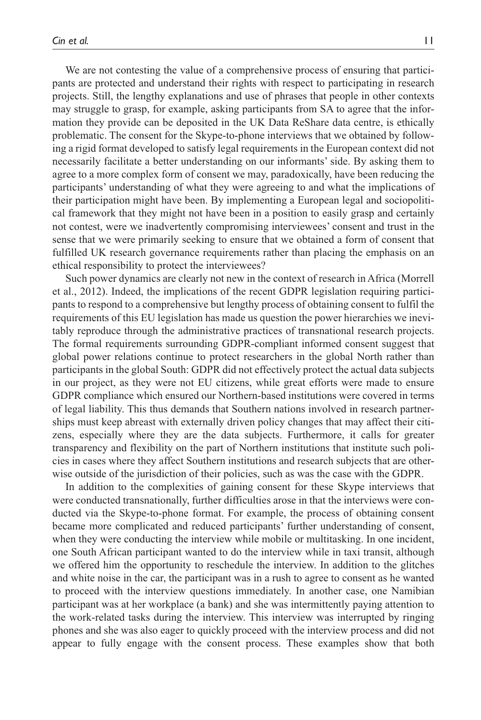We are not contesting the value of a comprehensive process of ensuring that participants are protected and understand their rights with respect to participating in research projects. Still, the lengthy explanations and use of phrases that people in other contexts may struggle to grasp, for example, asking participants from SA to agree that the information they provide can be deposited in the UK Data ReShare data centre, is ethically problematic. The consent for the Skype-to-phone interviews that we obtained by following a rigid format developed to satisfy legal requirements in the European context did not necessarily facilitate a better understanding on our informants' side. By asking them to agree to a more complex form of consent we may, paradoxically, have been reducing the participants' understanding of what they were agreeing to and what the implications of their participation might have been. By implementing a European legal and sociopolitical framework that they might not have been in a position to easily grasp and certainly not contest, were we inadvertently compromising interviewees' consent and trust in the sense that we were primarily seeking to ensure that we obtained a form of consent that fulfilled UK research governance requirements rather than placing the emphasis on an ethical responsibility to protect the interviewees?

Such power dynamics are clearly not new in the context of research in Africa (Morrell et al., 2012). Indeed, the implications of the recent GDPR legislation requiring participants to respond to a comprehensive but lengthy process of obtaining consent to fulfil the requirements of this EU legislation has made us question the power hierarchies we inevitably reproduce through the administrative practices of transnational research projects. The formal requirements surrounding GDPR-compliant informed consent suggest that global power relations continue to protect researchers in the global North rather than participants in the global South: GDPR did not effectively protect the actual data subjects in our project, as they were not EU citizens, while great efforts were made to ensure GDPR compliance which ensured our Northern-based institutions were covered in terms of legal liability. This thus demands that Southern nations involved in research partnerships must keep abreast with externally driven policy changes that may affect their citizens, especially where they are the data subjects. Furthermore, it calls for greater transparency and flexibility on the part of Northern institutions that institute such policies in cases where they affect Southern institutions and research subjects that are otherwise outside of the jurisdiction of their policies, such as was the case with the GDPR.

In addition to the complexities of gaining consent for these Skype interviews that were conducted transnationally, further difficulties arose in that the interviews were conducted via the Skype-to-phone format. For example, the process of obtaining consent became more complicated and reduced participants' further understanding of consent, when they were conducting the interview while mobile or multitasking. In one incident, one South African participant wanted to do the interview while in taxi transit, although we offered him the opportunity to reschedule the interview. In addition to the glitches and white noise in the car, the participant was in a rush to agree to consent as he wanted to proceed with the interview questions immediately. In another case, one Namibian participant was at her workplace (a bank) and she was intermittently paying attention to the work-related tasks during the interview. This interview was interrupted by ringing phones and she was also eager to quickly proceed with the interview process and did not appear to fully engage with the consent process. These examples show that both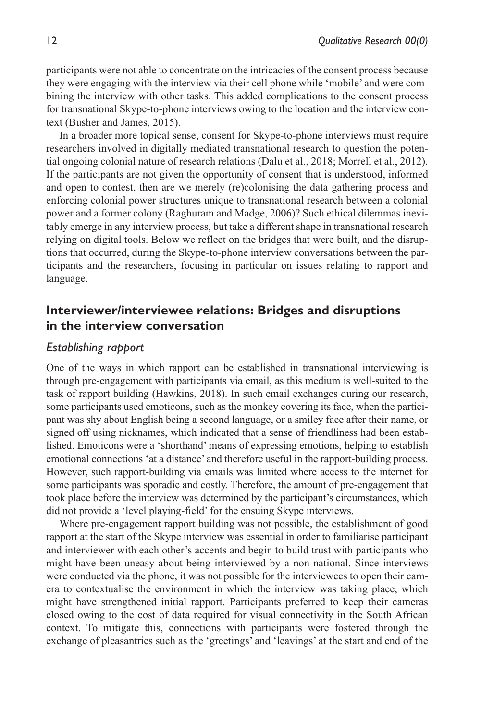participants were not able to concentrate on the intricacies of the consent process because they were engaging with the interview via their cell phone while 'mobile' and were combining the interview with other tasks. This added complications to the consent process for transnational Skype-to-phone interviews owing to the location and the interview context (Busher and James, 2015).

In a broader more topical sense, consent for Skype-to-phone interviews must require researchers involved in digitally mediated transnational research to question the potential ongoing colonial nature of research relations (Dalu et al., 2018; Morrell et al., 2012). If the participants are not given the opportunity of consent that is understood, informed and open to contest, then are we merely (re)colonising the data gathering process and enforcing colonial power structures unique to transnational research between a colonial power and a former colony (Raghuram and Madge, 2006)? Such ethical dilemmas inevitably emerge in any interview process, but take a different shape in transnational research relying on digital tools. Below we reflect on the bridges that were built, and the disruptions that occurred, during the Skype-to-phone interview conversations between the participants and the researchers, focusing in particular on issues relating to rapport and language.

## **Interviewer/interviewee relations: Bridges and disruptions in the interview conversation**

#### *Establishing rapport*

One of the ways in which rapport can be established in transnational interviewing is through pre-engagement with participants via email, as this medium is well-suited to the task of rapport building (Hawkins, 2018). In such email exchanges during our research, some participants used emoticons, such as the monkey covering its face, when the participant was shy about English being a second language, or a smiley face after their name, or signed off using nicknames, which indicated that a sense of friendliness had been established. Emoticons were a 'shorthand' means of expressing emotions, helping to establish emotional connections 'at a distance' and therefore useful in the rapport-building process. However, such rapport-building via emails was limited where access to the internet for some participants was sporadic and costly. Therefore, the amount of pre-engagement that took place before the interview was determined by the participant's circumstances, which did not provide a 'level playing-field' for the ensuing Skype interviews.

Where pre-engagement rapport building was not possible, the establishment of good rapport at the start of the Skype interview was essential in order to familiarise participant and interviewer with each other's accents and begin to build trust with participants who might have been uneasy about being interviewed by a non-national. Since interviews were conducted via the phone, it was not possible for the interviewees to open their camera to contextualise the environment in which the interview was taking place, which might have strengthened initial rapport. Participants preferred to keep their cameras closed owing to the cost of data required for visual connectivity in the South African context. To mitigate this, connections with participants were fostered through the exchange of pleasantries such as the 'greetings' and 'leavings' at the start and end of the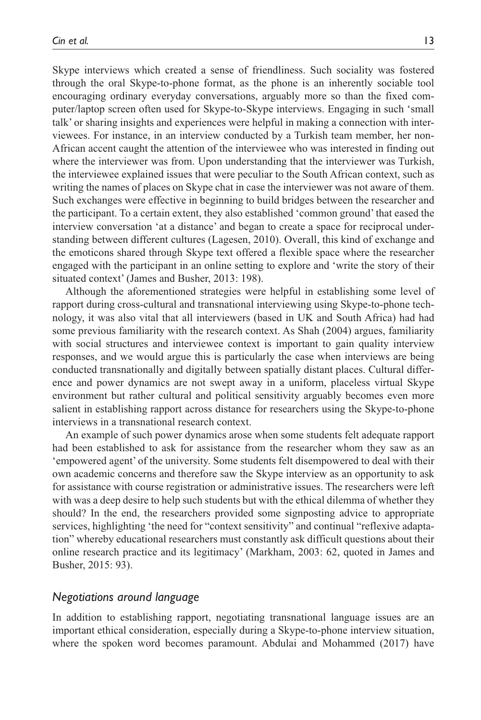Skype interviews which created a sense of friendliness. Such sociality was fostered through the oral Skype-to-phone format, as the phone is an inherently sociable tool encouraging ordinary everyday conversations, arguably more so than the fixed computer/laptop screen often used for Skype-to-Skype interviews. Engaging in such 'small talk' or sharing insights and experiences were helpful in making a connection with interviewees. For instance, in an interview conducted by a Turkish team member, her non-African accent caught the attention of the interviewee who was interested in finding out where the interviewer was from. Upon understanding that the interviewer was Turkish, the interviewee explained issues that were peculiar to the South African context, such as writing the names of places on Skype chat in case the interviewer was not aware of them. Such exchanges were effective in beginning to build bridges between the researcher and the participant. To a certain extent, they also established 'common ground' that eased the interview conversation 'at a distance' and began to create a space for reciprocal understanding between different cultures (Lagesen, 2010). Overall, this kind of exchange and the emoticons shared through Skype text offered a flexible space where the researcher engaged with the participant in an online setting to explore and 'write the story of their situated context' (James and Busher, 2013: 198).

Although the aforementioned strategies were helpful in establishing some level of rapport during cross-cultural and transnational interviewing using Skype-to-phone technology, it was also vital that all interviewers (based in UK and South Africa) had had some previous familiarity with the research context. As Shah (2004) argues, familiarity with social structures and interviewee context is important to gain quality interview responses, and we would argue this is particularly the case when interviews are being conducted transnationally and digitally between spatially distant places. Cultural difference and power dynamics are not swept away in a uniform, placeless virtual Skype environment but rather cultural and political sensitivity arguably becomes even more salient in establishing rapport across distance for researchers using the Skype-to-phone interviews in a transnational research context.

An example of such power dynamics arose when some students felt adequate rapport had been established to ask for assistance from the researcher whom they saw as an 'empowered agent' of the university. Some students felt disempowered to deal with their own academic concerns and therefore saw the Skype interview as an opportunity to ask for assistance with course registration or administrative issues. The researchers were left with was a deep desire to help such students but with the ethical dilemma of whether they should? In the end, the researchers provided some signposting advice to appropriate services, highlighting 'the need for "context sensitivity" and continual "reflexive adaptation" whereby educational researchers must constantly ask difficult questions about their online research practice and its legitimacy' (Markham, 2003: 62, quoted in James and Busher, 2015: 93).

#### *Negotiations around language*

In addition to establishing rapport, negotiating transnational language issues are an important ethical consideration, especially during a Skype-to-phone interview situation, where the spoken word becomes paramount. Abdulai and Mohammed (2017) have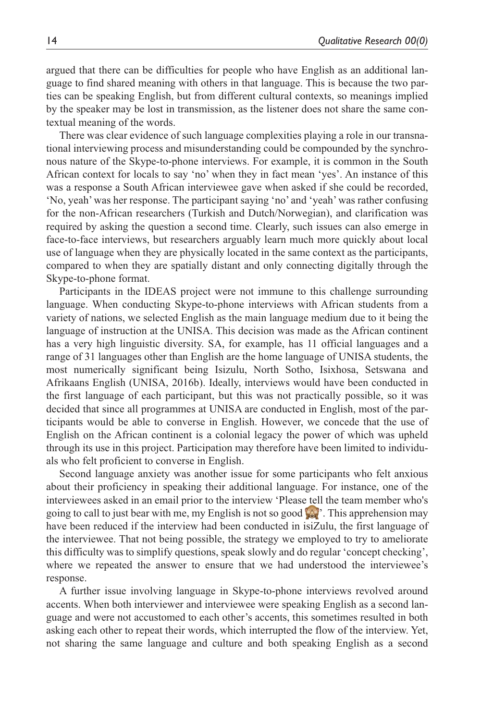argued that there can be difficulties for people who have English as an additional language to find shared meaning with others in that language. This is because the two parties can be speaking English, but from different cultural contexts, so meanings implied by the speaker may be lost in transmission, as the listener does not share the same contextual meaning of the words.

There was clear evidence of such language complexities playing a role in our transnational interviewing process and misunderstanding could be compounded by the synchronous nature of the Skype-to-phone interviews. For example, it is common in the South African context for locals to say 'no' when they in fact mean 'yes'. An instance of this was a response a South African interviewee gave when asked if she could be recorded, 'No, yeah' was her response. The participant saying 'no' and 'yeah' was rather confusing for the non-African researchers (Turkish and Dutch/Norwegian), and clarification was required by asking the question a second time. Clearly, such issues can also emerge in face-to-face interviews, but researchers arguably learn much more quickly about local use of language when they are physically located in the same context as the participants, compared to when they are spatially distant and only connecting digitally through the Skype-to-phone format.

Participants in the IDEAS project were not immune to this challenge surrounding language. When conducting Skype-to-phone interviews with African students from a variety of nations, we selected English as the main language medium due to it being the language of instruction at the UNISA. This decision was made as the African continent has a very high linguistic diversity. SA, for example, has 11 official languages and a range of 31 languages other than English are the home language of UNISA students, the most numerically significant being Isizulu, North Sotho, Isixhosa, Setswana and Afrikaans English (UNISA, 2016b). Ideally, interviews would have been conducted in the first language of each participant, but this was not practically possible, so it was decided that since all programmes at UNISA are conducted in English, most of the participants would be able to converse in English. However, we concede that the use of English on the African continent is a colonial legacy the power of which was upheld through its use in this project. Participation may therefore have been limited to individuals who felt proficient to converse in English.

Second language anxiety was another issue for some participants who felt anxious about their proficiency in speaking their additional language. For instance, one of the interviewees asked in an email prior to the interview 'Please tell the team member who's going to call to just bear with me, my English is not so good '. This apprehension may have been reduced if the interview had been conducted in isiZulu, the first language of the interviewee. That not being possible, the strategy we employed to try to ameliorate this difficulty was to simplify questions, speak slowly and do regular 'concept checking', where we repeated the answer to ensure that we had understood the interviewee's response.

A further issue involving language in Skype-to-phone interviews revolved around accents. When both interviewer and interviewee were speaking English as a second language and were not accustomed to each other's accents, this sometimes resulted in both asking each other to repeat their words, which interrupted the flow of the interview. Yet, not sharing the same language and culture and both speaking English as a second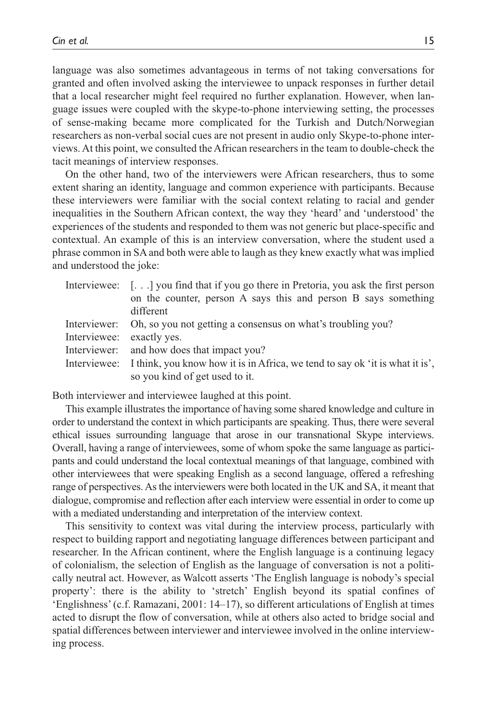language was also sometimes advantageous in terms of not taking conversations for granted and often involved asking the interviewee to unpack responses in further detail that a local researcher might feel required no further explanation. However, when language issues were coupled with the skype-to-phone interviewing setting, the processes of sense-making became more complicated for the Turkish and Dutch/Norwegian researchers as non-verbal social cues are not present in audio only Skype-to-phone interviews. At this point, we consulted the African researchers in the team to double-check the tacit meanings of interview responses.

On the other hand, two of the interviewers were African researchers, thus to some extent sharing an identity, language and common experience with participants. Because these interviewers were familiar with the social context relating to racial and gender inequalities in the Southern African context, the way they 'heard' and 'understood' the experiences of the students and responded to them was not generic but place-specific and contextual. An example of this is an interview conversation, where the student used a phrase common in SA and both were able to laugh as they knew exactly what was implied and understood the joke:

|                           | Interviewee: $\left[ \ldots \right]$ you find that if you go there in Pretoria, you ask the first person |
|---------------------------|----------------------------------------------------------------------------------------------------------|
|                           | on the counter, person A says this and person B says something                                           |
|                           | different                                                                                                |
|                           | Interviewer: Oh, so you not getting a consensus on what's troubling you?                                 |
| Interviewee: exactly yes. |                                                                                                          |
|                           | Interviewer: and how does that impact you?                                                               |
|                           | Interviewee: I think, you know how it is in Africa, we tend to say ok 'it is what it is',                |
|                           | so you kind of get used to it.                                                                           |

Both interviewer and interviewee laughed at this point.

This example illustrates the importance of having some shared knowledge and culture in order to understand the context in which participants are speaking. Thus, there were several ethical issues surrounding language that arose in our transnational Skype interviews. Overall, having a range of interviewees, some of whom spoke the same language as participants and could understand the local contextual meanings of that language, combined with other interviewees that were speaking English as a second language, offered a refreshing range of perspectives. As the interviewers were both located in the UK and SA, it meant that dialogue, compromise and reflection after each interview were essential in order to come up with a mediated understanding and interpretation of the interview context.

This sensitivity to context was vital during the interview process, particularly with respect to building rapport and negotiating language differences between participant and researcher. In the African continent, where the English language is a continuing legacy of colonialism, the selection of English as the language of conversation is not a politically neutral act. However, as Walcott asserts 'The English language is nobody's special property': there is the ability to 'stretch' English beyond its spatial confines of 'Englishness' (c.f. Ramazani, 2001: 14–17), so different articulations of English at times acted to disrupt the flow of conversation, while at others also acted to bridge social and spatial differences between interviewer and interviewee involved in the online interviewing process.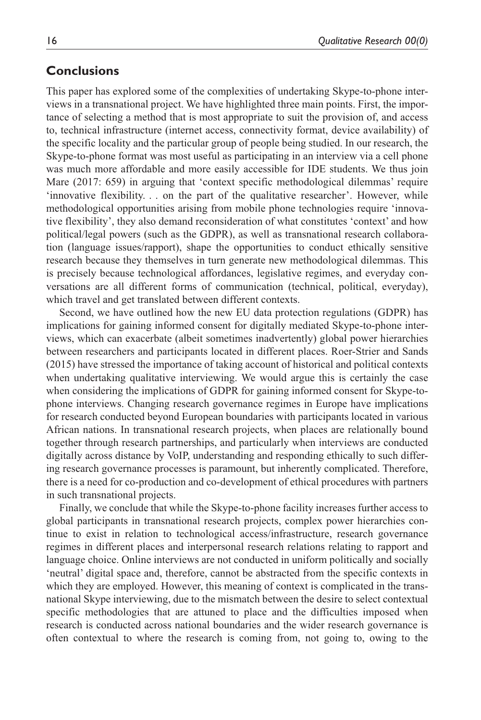### **Conclusions**

This paper has explored some of the complexities of undertaking Skype-to-phone interviews in a transnational project. We have highlighted three main points. First, the importance of selecting a method that is most appropriate to suit the provision of, and access to, technical infrastructure (internet access, connectivity format, device availability) of the specific locality and the particular group of people being studied. In our research, the Skype-to-phone format was most useful as participating in an interview via a cell phone was much more affordable and more easily accessible for IDE students. We thus join Mare (2017: 659) in arguing that 'context specific methodological dilemmas' require 'innovative flexibility. . . on the part of the qualitative researcher'. However, while methodological opportunities arising from mobile phone technologies require 'innovative flexibility', they also demand reconsideration of what constitutes 'context' and how political/legal powers (such as the GDPR), as well as transnational research collaboration (language issues/rapport), shape the opportunities to conduct ethically sensitive research because they themselves in turn generate new methodological dilemmas. This is precisely because technological affordances, legislative regimes, and everyday conversations are all different forms of communication (technical, political, everyday), which travel and get translated between different contexts.

Second, we have outlined how the new EU data protection regulations (GDPR) has implications for gaining informed consent for digitally mediated Skype-to-phone interviews, which can exacerbate (albeit sometimes inadvertently) global power hierarchies between researchers and participants located in different places. Roer-Strier and Sands (2015) have stressed the importance of taking account of historical and political contexts when undertaking qualitative interviewing. We would argue this is certainly the case when considering the implications of GDPR for gaining informed consent for Skype-tophone interviews. Changing research governance regimes in Europe have implications for research conducted beyond European boundaries with participants located in various African nations. In transnational research projects, when places are relationally bound together through research partnerships, and particularly when interviews are conducted digitally across distance by VoIP, understanding and responding ethically to such differing research governance processes is paramount, but inherently complicated. Therefore, there is a need for co-production and co-development of ethical procedures with partners in such transnational projects.

Finally, we conclude that while the Skype-to-phone facility increases further access to global participants in transnational research projects, complex power hierarchies continue to exist in relation to technological access/infrastructure, research governance regimes in different places and interpersonal research relations relating to rapport and language choice. Online interviews are not conducted in uniform politically and socially 'neutral' digital space and, therefore, cannot be abstracted from the specific contexts in which they are employed. However, this meaning of context is complicated in the transnational Skype interviewing, due to the mismatch between the desire to select contextual specific methodologies that are attuned to place and the difficulties imposed when research is conducted across national boundaries and the wider research governance is often contextual to where the research is coming from, not going to, owing to the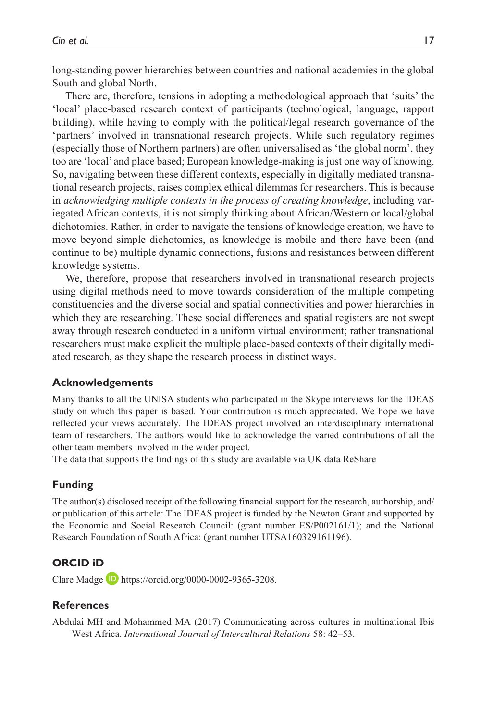long-standing power hierarchies between countries and national academies in the global South and global North.

There are, therefore, tensions in adopting a methodological approach that 'suits' the 'local' place-based research context of participants (technological, language, rapport building), while having to comply with the political/legal research governance of the 'partners' involved in transnational research projects. While such regulatory regimes (especially those of Northern partners) are often universalised as 'the global norm', they too are 'local' and place based; European knowledge-making is just one way of knowing. So, navigating between these different contexts, especially in digitally mediated transnational research projects, raises complex ethical dilemmas for researchers. This is because in *acknowledging multiple contexts in the process of creating knowledge*, including variegated African contexts, it is not simply thinking about African/Western or local/global dichotomies. Rather, in order to navigate the tensions of knowledge creation, we have to move beyond simple dichotomies, as knowledge is mobile and there have been (and continue to be) multiple dynamic connections, fusions and resistances between different knowledge systems.

We, therefore, propose that researchers involved in transnational research projects using digital methods need to move towards consideration of the multiple competing constituencies and the diverse social and spatial connectivities and power hierarchies in which they are researching. These social differences and spatial registers are not swept away through research conducted in a uniform virtual environment; rather transnational researchers must make explicit the multiple place-based contexts of their digitally mediated research, as they shape the research process in distinct ways.

#### **Acknowledgements**

Many thanks to all the UNISA students who participated in the Skype interviews for the IDEAS study on which this paper is based. Your contribution is much appreciated. We hope we have reflected your views accurately. The IDEAS project involved an interdisciplinary international team of researchers. The authors would like to acknowledge the varied contributions of all the other team members involved in the wider project.

The data that supports the findings of this study are available via UK data ReShare

#### **Funding**

The author(s) disclosed receipt of the following financial support for the research, authorship, and/ or publication of this article: The IDEAS project is funded by the Newton Grant and supported by the Economic and Social Research Council: (grant number ES/P002161/1); and the National Research Foundation of South Africa: (grant number UTSA160329161196).

#### **ORCID iD**

Clare Madge **D** [https://orcid.org/0000-0002-9365-3208.](https://orcid.org/0000-0002-9365-3208)

#### **References**

Abdulai MH and Mohammed MA (2017) Communicating across cultures in multinational Ibis West Africa. *International Journal of Intercultural Relations* 58: 42–53.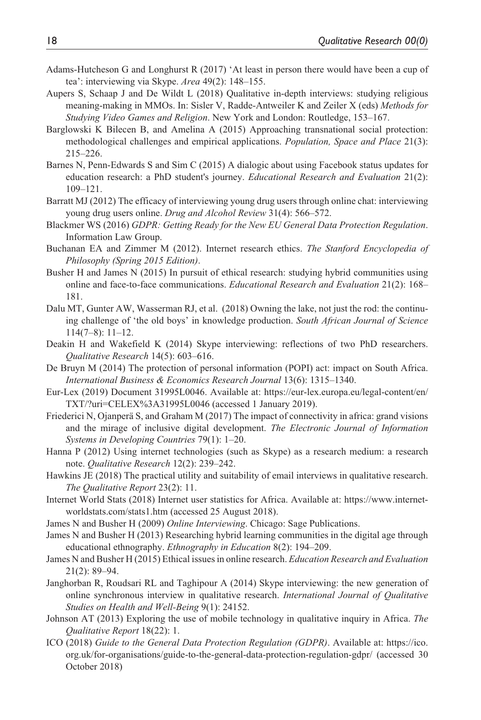- Adams-Hutcheson G and Longhurst R (2017) 'At least in person there would have been a cup of tea': interviewing via Skype. *Area* 49(2): 148–155.
- Aupers S, Schaap J and De Wildt L (2018) Qualitative in-depth interviews: studying religious meaning-making in MMOs. In: Sisler V, Radde-Antweiler K and Zeiler X (eds) *Methods for Studying Video Games and Religion*. New York and London: Routledge, 153–167.
- Barglowski K Bilecen B, and Amelina A (2015) Approaching transnational social protection: methodological challenges and empirical applications. *Population, Space and Place* 21(3): 215–226.
- Barnes N, Penn-Edwards S and Sim C (2015) A dialogic about using Facebook status updates for education research: a PhD student's journey. *Educational Research and Evaluation* 21(2): 109–121.
- Barratt MJ (2012) The efficacy of interviewing young drug users through online chat: interviewing young drug users online. *Drug and Alcohol Review* 31(4): 566–572.
- Blackmer WS (2016) *GDPR: Getting Ready for the New EU General Data Protection Regulation*. Information Law Group.
- Buchanan EA and Zimmer M (2012). Internet research ethics. *The Stanford Encyclopedia of Philosophy (Spring 2015 Edition)*.
- Busher H and James N (2015) In pursuit of ethical research: studying hybrid communities using online and face-to-face communications. *Educational Research and Evaluation* 21(2): 168– 181.
- Dalu MT, Gunter AW, Wasserman RJ, et al. (2018) Owning the lake, not just the rod: the continuing challenge of 'the old boys' in knowledge production. *South African Journal of Science*  114(7–8): 11–12.
- Deakin H and Wakefield K (2014) Skype interviewing: reflections of two PhD researchers. *Qualitative Research* 14(5): 603–616.
- De Bruyn M (2014) The protection of personal information (POPI) act: impact on South Africa. *International Business & Economics Research Journal* 13(6): 1315–1340.
- Eur-Lex (2019) Document 31995L0046. Available at: [https://eur-lex.europa.eu/legal-content/en/](https://eur-lex.europa.eu/legal-content/en/TXT/?uri=CELEX%3A31995L0046) [TXT/?uri=CELEX%3A31995L0046](https://eur-lex.europa.eu/legal-content/en/TXT/?uri=CELEX%3A31995L0046) (accessed 1 January 2019).
- Friederici N, Ojanperä S, and Graham M (2017) The impact of connectivity in africa: grand visions and the mirage of inclusive digital development. *The Electronic Journal of Information Systems in Developing Countries* 79(1): 1–20.
- Hanna P (2012) Using internet technologies (such as Skype) as a research medium: a research note. *Qualitative Research* 12(2): 239–242.
- Hawkins JE (2018) The practical utility and suitability of email interviews in qualitative research. *The Qualitative Report* 23(2): 11.
- Internet World Stats (2018) Internet user statistics for Africa. Available at: [https://www.internet](https://www.internetworldstats.com/stats1.htm)[worldstats.com/stats1.htm](https://www.internetworldstats.com/stats1.htm) (accessed 25 August 2018).
- James N and Busher H (2009) *Online Interviewing*. Chicago: Sage Publications.
- James N and Busher H (2013) Researching hybrid learning communities in the digital age through educational ethnography. *Ethnography in Education* 8(2): 194–209.
- James N and Busher H (2015) Ethical issues in online research. *Education Research and Evaluation* 21(2): 89–94.
- Janghorban R, Roudsari RL and Taghipour A (2014) Skype interviewing: the new generation of online synchronous interview in qualitative research. *International Journal of Qualitative Studies on Health and Well-Being* 9(1): 24152.
- Johnson AT (2013) Exploring the use of mobile technology in qualitative inquiry in Africa. *The Qualitative Report* 18(22): 1.
- ICO (2018) *Guide to the General Data Protection Regulation (GDPR)*. Available at: [https://ico.](https://ico.org.uk/for-organisations/guide-to-the-general-data-protection-regulation-gdpr/) [org.uk/for-organisations/guide-to-the-general-data-protection-regulation-gdpr/](https://ico.org.uk/for-organisations/guide-to-the-general-data-protection-regulation-gdpr/) (accessed 30 October 2018)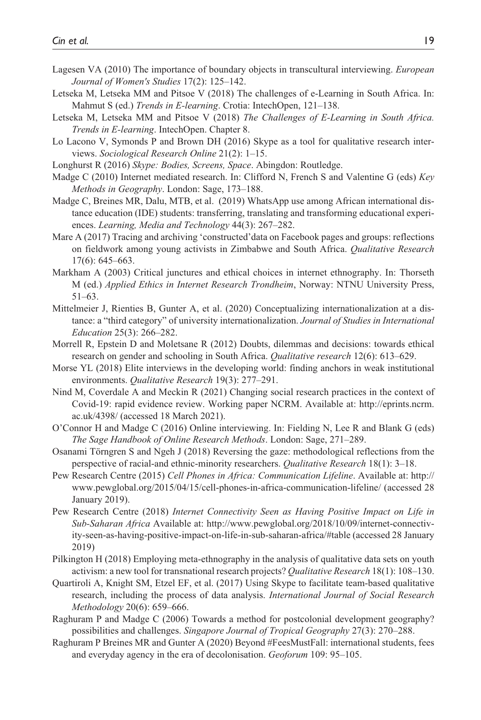- Lagesen VA (2010) The importance of boundary objects in transcultural interviewing. *European Journal of Women's Studies* 17(2): 125–142.
- Letseka M, Letseka MM and Pitsoe V (2018) The challenges of e-Learning in South Africa. In: Mahmut S (ed.) *Trends in E-learning*. Crotia: IntechOpen, 121–138.
- Letseka M, Letseka MM and Pitsoe V (2018) *The Challenges of E-Learning in South Africa. Trends in E-learning*. IntechOpen. Chapter 8.
- Lo Lacono V, Symonds P and Brown DH (2016) Skype as a tool for qualitative research interviews. *Sociological Research Online* 21(2): 1–15.
- Longhurst R (2016) *Skype: Bodies, Screens, Space*. Abingdon: Routledge.
- Madge C (2010) Internet mediated research. In: Clifford N, French S and Valentine G (eds) *Key Methods in Geography*. London: Sage, 173–188.
- Madge C, Breines MR, Dalu, MTB, et al. (2019) WhatsApp use among African international distance education (IDE) students: transferring, translating and transforming educational experiences. *Learning, Media and Technology* 44(3): 267–282.
- Mare A (2017) Tracing and archiving 'constructed'data on Facebook pages and groups: reflections on fieldwork among young activists in Zimbabwe and South Africa. *Qualitative Research* 17(6): 645–663.
- Markham A (2003) Critical junctures and ethical choices in internet ethnography. In: Thorseth M (ed.) *Applied Ethics in Internet Research Trondheim*, Norway: NTNU University Press, 51–63.
- Mittelmeier J, Rienties B, Gunter A, et al. (2020) Conceptualizing internationalization at a distance: a "third category" of university internationalization. *Journal of Studies in International Education* 25(3): 266–282.
- Morrell R, Epstein D and Moletsane R (2012) Doubts, dilemmas and decisions: towards ethical research on gender and schooling in South Africa. *Qualitative research* 12(6): 613–629.
- Morse YL (2018) Elite interviews in the developing world: finding anchors in weak institutional environments. *Qualitative Research* 19(3): 277–291.
- Nind M, Coverdale A and Meckin R (2021) Changing social research practices in the context of Covid-19: rapid evidence review. Working paper NCRM. Available at: [http://eprints.ncrm.](http://eprints.ncrm.ac.uk/4398/) [ac.uk/4398/](http://eprints.ncrm.ac.uk/4398/) (accessed 18 March 2021).
- O'Connor H and Madge C (2016) Online interviewing. In: Fielding N, Lee R and Blank G (eds) *The Sage Handbook of Online Research Methods*. London: Sage, 271–289.
- Osanami Törngren S and Ngeh J (2018) Reversing the gaze: methodological reflections from the perspective of racial-and ethnic-minority researchers. *Qualitative Research* 18(1): 3–18.
- Pew Research Centre (2015) *Cell Phones in Africa: Communication Lifeline*. Available at: [http://](http://www.pewglobal.org/2015/04/15/cell-phones-in-africa-communication-lifeline/) [www.pewglobal.org/2015/04/15/cell-phones-in-africa-communication-lifeline/](http://www.pewglobal.org/2015/04/15/cell-phones-in-africa-communication-lifeline/) (accessed 28 January 2019).
- Pew Research Centre (2018) *Internet Connectivity Seen as Having Positive Impact on Life in Sub-Saharan Africa* Available at: [http://www.pewglobal.org/2018/10/09/internet-connectiv](http://www.pewglobal.org/2018/10/09/internet-connectivity-seen-as-having-positive-impact-on-life-in-sub-saharan-africa/#table)[ity-seen-as-having-positive-impact-on-life-in-sub-saharan-africa/#table](http://www.pewglobal.org/2018/10/09/internet-connectivity-seen-as-having-positive-impact-on-life-in-sub-saharan-africa/#table) (accessed 28 January 2019)
- Pilkington H (2018) Employing meta-ethnography in the analysis of qualitative data sets on youth activism: a new tool for transnational research projects? *Qualitative Research* 18(1): 108–130.
- Quartiroli A, Knight SM, Etzel EF, et al. (2017) Using Skype to facilitate team-based qualitative research, including the process of data analysis. *International Journal of Social Research Methodology* 20(6): 659–666.
- Raghuram P and Madge C (2006) Towards a method for postcolonial development geography? possibilities and challenges. *Singapore Journal of Tropical Geography* 27(3): 270–288.
- Raghuram P Breines MR and Gunter A (2020) Beyond #FeesMustFall: international students, fees and everyday agency in the era of decolonisation. *Geoforum* 109: 95–105.